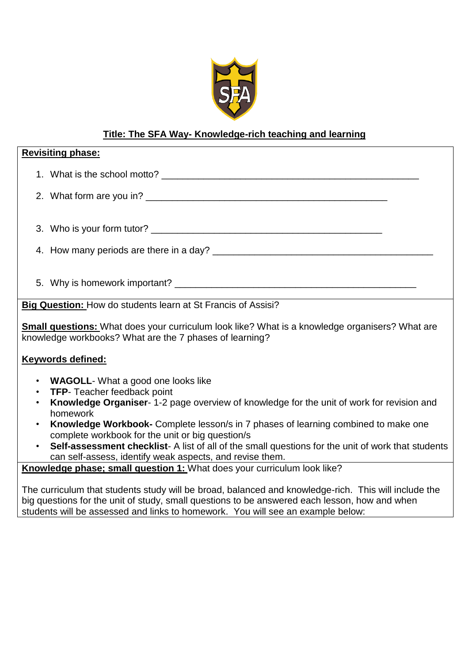

# **Title: The SFA Way- Knowledge-rich teaching and learning**

| <b>Revisiting phase:</b>                                                                                                                                                    |
|-----------------------------------------------------------------------------------------------------------------------------------------------------------------------------|
|                                                                                                                                                                             |
|                                                                                                                                                                             |
|                                                                                                                                                                             |
|                                                                                                                                                                             |
|                                                                                                                                                                             |
|                                                                                                                                                                             |
| Big Question: How do students learn at St Francis of Assisi?                                                                                                                |
| <b>Small questions:</b> What does your curriculum look like? What is a knowledge organisers? What are<br>knowledge workbooks? What are the 7 phases of learning?            |
| <b>Keywords defined:</b>                                                                                                                                                    |
| • WAGOLL-What a good one looks like                                                                                                                                         |
| <b>TFP-</b> Teacher feedback point<br>$\bullet$                                                                                                                             |
| Knowledge Organiser- 1-2 page overview of knowledge for the unit of work for revision and<br>$\bullet$<br>homework                                                          |
| Knowledge Workbook- Complete lesson/s in 7 phases of learning combined to make one<br>$\bullet$<br>complete workbook for the unit or big question/s                         |
| Self-assessment checklist- A list of all of the small questions for the unit of work that students<br>$\bullet$<br>can self-assess, identify weak aspects, and revise them. |
| Knowledge phase; small question 1: What does your curriculum look like?                                                                                                     |

The curriculum that students study will be broad, balanced and knowledge-rich. This will include the big questions for the unit of study, small questions to be answered each lesson, how and when students will be assessed and links to homework. You will see an example below: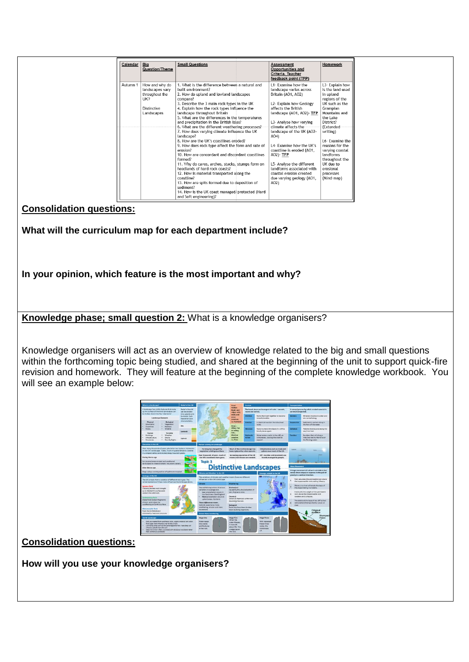| Calendar | Big                | <b>Small Questions</b>                                        | Assessment                             | Homework                     |
|----------|--------------------|---------------------------------------------------------------|----------------------------------------|------------------------------|
|          | Question/Theme     |                                                               | Opportunities and                      |                              |
|          |                    |                                                               | Criteria. Teacher                      |                              |
|          |                    |                                                               | feedback point (TFP)                   |                              |
| Autumn 1 | How and why do     | 1. What is the difference between a natural and               | 11- Examine how the                    | L3- Explain how              |
|          | landscapes vary    | built environment?                                            | landscape varies across                | is the land used             |
|          | throughout the     | 2. How do upland and lowland landscapes                       | Britain (AO1, AO2)                     | in upland                    |
|          | UK?                | compare?                                                      |                                        | regions of the               |
|          |                    | 3. Describe the 3 main rock types in the UK                   | L2- Explain how Geology                | UK such as the               |
|          | <b>Distinctive</b> | 4. Explain how the rock types influence the                   | affects the British                    | Grampian                     |
|          | Landscapes         | landscape throughout Britain                                  | landscape (AO1, AO2) TFP               | Mountains and                |
|          |                    | 5. What are the differences in the temperatures               |                                        | the Lake                     |
|          |                    | and precipitation in the British Isles?                       | L3- Analyse how varying                | District?                    |
|          |                    | 6. What are the different weathering processes?               | climate affects the                    | (Extended-                   |
|          |                    | 7. How does varying climate influence the UK                  | landscape of the UK (AO2-              | writing)                     |
|          |                    | landscape?                                                    | A <sub>04</sub>                        |                              |
|          |                    | 8. How are the UK's coastlines eroded?                        |                                        | 16- Examine the              |
|          |                    | 9. How does rock type affect the form and rate of<br>erosion? | L4- Examine how the UK's               | reasons for the              |
|          |                    | 10. How are concordant and discordant coastlines              | coastline is eroded (AO1,<br>A02)- TFP | varving coastal<br>landforms |
|          |                    | formed?                                                       |                                        | throughout the               |
|          |                    | 11. Why do caves, arches, stacks, stumps form on              | L5- Analyse the different              | UK due to                    |
|          |                    | headlands of hard rock coasts?                                | landforms associated with              | erosional                    |
|          |                    | 12. How is material transported along the                     | coastal erosion created                | processes                    |
|          |                    | coastline?                                                    | due varying geology (AO1,              | (Mind-map)                   |
|          |                    | 13. How are spits formed due to deposition of                 | A02)                                   |                              |
|          |                    | sediment?                                                     |                                        |                              |
|          |                    | 14. How is the UK coast managed/protected (Hard               |                                        |                              |
|          |                    | and Soft engineering)?                                        |                                        |                              |

## **Consolidation questions:**

**What will the curriculum map for each department include?**

**In your opinion, which feature is the most important and why?**

**Knowledge phase; small question 2:** What is a knowledge organisers?

Knowledge organisers will act as an overview of knowledge related to the big and small questions within the forthcoming topic being studied, and shared at the beginning of the unit to support quick-fire revision and homework. They will feature at the beginning of the complete knowledge workbook. You will see an example below:



**Consolidation questions:**

**How will you use your knowledge organisers?**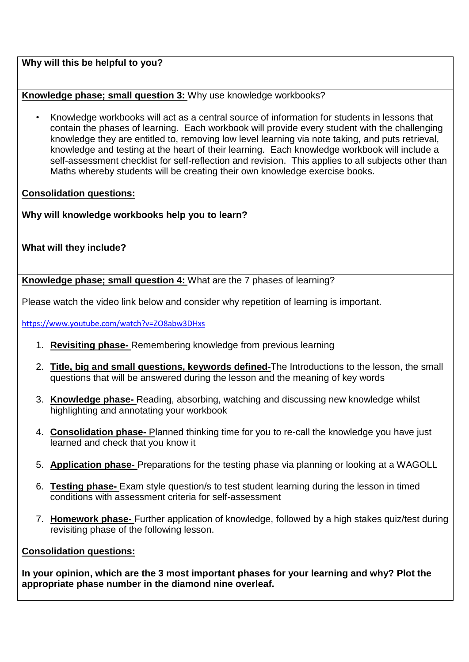## **Why will this be helpful to you?**

## **Knowledge phase; small question 3:** Why use knowledge workbooks?

• Knowledge workbooks will act as a central source of information for students in lessons that contain the phases of learning. Each workbook will provide every student with the challenging knowledge they are entitled to, removing low level learning via note taking, and puts retrieval, knowledge and testing at the heart of their learning. Each knowledge workbook will include a self-assessment checklist for self-reflection and revision. This applies to all subjects other than Maths whereby students will be creating their own knowledge exercise books.

## **Consolidation questions:**

**Why will knowledge workbooks help you to learn?** 

## **What will they include?**

**Knowledge phase; small question 4:** What are the 7 phases of learning?

Please watch the video link below and consider why repetition of learning is important.

<https://www.youtube.com/watch?v=ZO8abw3DHxs>

- 1. **Revisiting phase-** Remembering knowledge from previous learning
- 2. **Title, big and small questions, keywords defined-**The Introductions to the lesson, the small questions that will be answered during the lesson and the meaning of key words
- 3. **Knowledge phase-** Reading, absorbing, watching and discussing new knowledge whilst highlighting and annotating your workbook
- 4. **Consolidation phase-** Planned thinking time for you to re-call the knowledge you have just learned and check that you know it
- 5. **Application phase-** Preparations for the testing phase via planning or looking at a WAGOLL
- 6. **Testing phase-** Exam style question/s to test student learning during the lesson in timed conditions with assessment criteria for self-assessment
- 7. **Homework phase-** Further application of knowledge, followed by a high stakes quiz/test during revisiting phase of the following lesson.

#### **Consolidation questions:**

**In your opinion, which are the 3 most important phases for your learning and why? Plot the appropriate phase number in the diamond nine overleaf.**